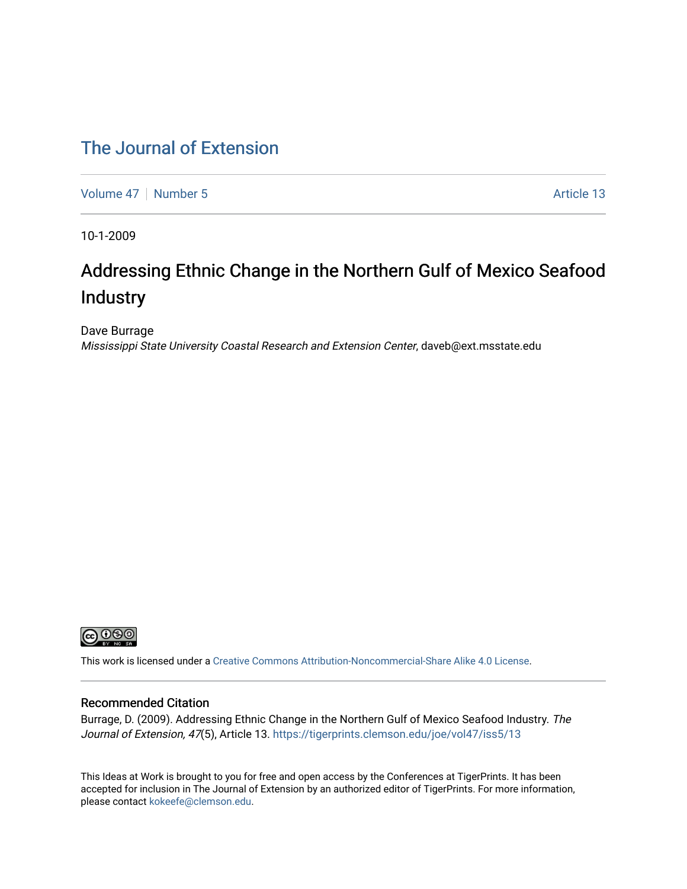### [The Journal of Extension](https://tigerprints.clemson.edu/joe)

[Volume 47](https://tigerprints.clemson.edu/joe/vol47) | [Number 5](https://tigerprints.clemson.edu/joe/vol47/iss5) Article 13

10-1-2009

# Addressing Ethnic Change in the Northern Gulf of Mexico Seafood Industry

Dave Burrage Mississippi State University Coastal Research and Extension Center, daveb@ext.msstate.edu



This work is licensed under a [Creative Commons Attribution-Noncommercial-Share Alike 4.0 License.](https://creativecommons.org/licenses/by-nc-sa/4.0/)

#### Recommended Citation

Burrage, D. (2009). Addressing Ethnic Change in the Northern Gulf of Mexico Seafood Industry. The Journal of Extension, 47(5), Article 13. https://tigerprints.clemson.edu/joe/vol47/iss5/13

This Ideas at Work is brought to you for free and open access by the Conferences at TigerPrints. It has been accepted for inclusion in The Journal of Extension by an authorized editor of TigerPrints. For more information, please contact [kokeefe@clemson.edu](mailto:kokeefe@clemson.edu).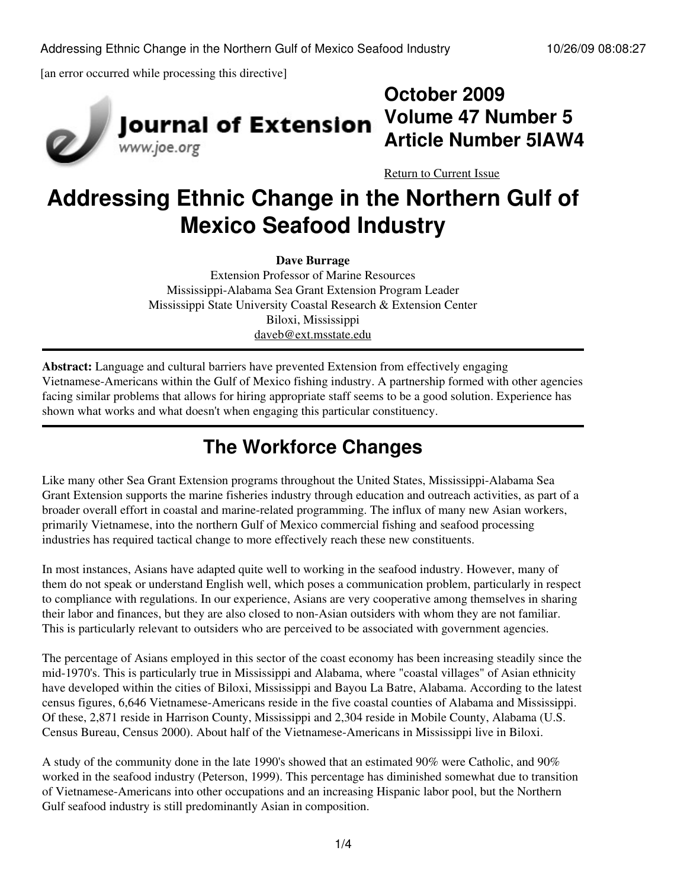[an error occurred while processing this directive]



# **Journal of Extension** www.joe.org

**October 2009 Volume 47 Number 5 Article Number 5IAW4**

[Return to Current Issue](http://www.joe.org:80/joe/2009october/)

# **Addressing Ethnic Change in the Northern Gulf of Mexico Seafood Industry**

**Dave Burrage**

Extension Professor of Marine Resources Mississippi-Alabama Sea Grant Extension Program Leader Mississippi State University Coastal Research & Extension Center Biloxi, Mississippi [daveb@ext.msstate.edu](mailto:daveb@ext.msstate.edu)

**Abstract:** Language and cultural barriers have prevented Extension from effectively engaging Vietnamese-Americans within the Gulf of Mexico fishing industry. A partnership formed with other agencies facing similar problems that allows for hiring appropriate staff seems to be a good solution. Experience has shown what works and what doesn't when engaging this particular constituency.

# **The Workforce Changes**

Like many other Sea Grant Extension programs throughout the United States, Mississippi-Alabama Sea Grant Extension supports the marine fisheries industry through education and outreach activities, as part of a broader overall effort in coastal and marine-related programming. The influx of many new Asian workers, primarily Vietnamese, into the northern Gulf of Mexico commercial fishing and seafood processing industries has required tactical change to more effectively reach these new constituents.

In most instances, Asians have adapted quite well to working in the seafood industry. However, many of them do not speak or understand English well, which poses a communication problem, particularly in respect to compliance with regulations. In our experience, Asians are very cooperative among themselves in sharing their labor and finances, but they are also closed to non-Asian outsiders with whom they are not familiar. This is particularly relevant to outsiders who are perceived to be associated with government agencies.

The percentage of Asians employed in this sector of the coast economy has been increasing steadily since the mid-1970's. This is particularly true in Mississippi and Alabama, where "coastal villages" of Asian ethnicity have developed within the cities of Biloxi, Mississippi and Bayou La Batre, Alabama. According to the latest census figures, 6,646 Vietnamese-Americans reside in the five coastal counties of Alabama and Mississippi. Of these, 2,871 reside in Harrison County, Mississippi and 2,304 reside in Mobile County, Alabama (U.S. Census Bureau, Census 2000). About half of the Vietnamese-Americans in Mississippi live in Biloxi.

A study of the community done in the late 1990's showed that an estimated 90% were Catholic, and 90% worked in the seafood industry (Peterson, 1999). This percentage has diminished somewhat due to transition of Vietnamese-Americans into other occupations and an increasing Hispanic labor pool, but the Northern Gulf seafood industry is still predominantly Asian in composition.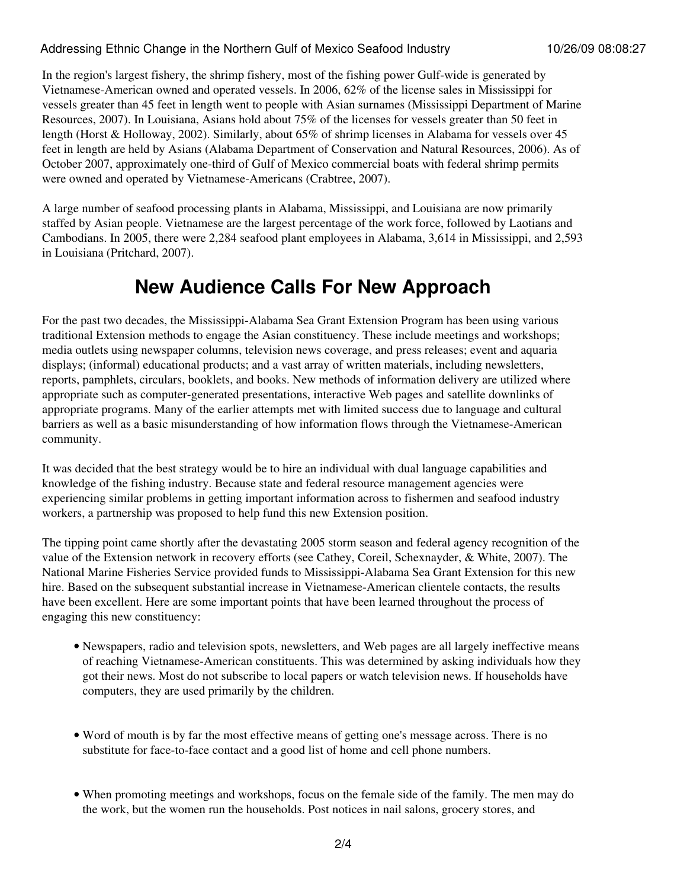#### Addressing Ethnic Change in the Northern Gulf of Mexico Seafood Industry 10/26/09 08:08:27

In the region's largest fishery, the shrimp fishery, most of the fishing power Gulf-wide is generated by Vietnamese-American owned and operated vessels. In 2006, 62% of the license sales in Mississippi for vessels greater than 45 feet in length went to people with Asian surnames (Mississippi Department of Marine Resources, 2007). In Louisiana, Asians hold about 75% of the licenses for vessels greater than 50 feet in length (Horst & Holloway, 2002). Similarly, about 65% of shrimp licenses in Alabama for vessels over 45 feet in length are held by Asians (Alabama Department of Conservation and Natural Resources, 2006). As of October 2007, approximately one-third of Gulf of Mexico commercial boats with federal shrimp permits were owned and operated by Vietnamese-Americans (Crabtree, 2007).

A large number of seafood processing plants in Alabama, Mississippi, and Louisiana are now primarily staffed by Asian people. Vietnamese are the largest percentage of the work force, followed by Laotians and Cambodians. In 2005, there were 2,284 seafood plant employees in Alabama, 3,614 in Mississippi, and 2,593 in Louisiana (Pritchard, 2007).

## **New Audience Calls For New Approach**

For the past two decades, the Mississippi-Alabama Sea Grant Extension Program has been using various traditional Extension methods to engage the Asian constituency. These include meetings and workshops; media outlets using newspaper columns, television news coverage, and press releases; event and aquaria displays; (informal) educational products; and a vast array of written materials, including newsletters, reports, pamphlets, circulars, booklets, and books. New methods of information delivery are utilized where appropriate such as computer-generated presentations, interactive Web pages and satellite downlinks of appropriate programs. Many of the earlier attempts met with limited success due to language and cultural barriers as well as a basic misunderstanding of how information flows through the Vietnamese-American community.

It was decided that the best strategy would be to hire an individual with dual language capabilities and knowledge of the fishing industry. Because state and federal resource management agencies were experiencing similar problems in getting important information across to fishermen and seafood industry workers, a partnership was proposed to help fund this new Extension position.

The tipping point came shortly after the devastating 2005 storm season and federal agency recognition of the value of the Extension network in recovery efforts (see Cathey, Coreil, Schexnayder, & White, 2007). The National Marine Fisheries Service provided funds to Mississippi-Alabama Sea Grant Extension for this new hire. Based on the subsequent substantial increase in Vietnamese-American clientele contacts, the results have been excellent. Here are some important points that have been learned throughout the process of engaging this new constituency:

- Newspapers, radio and television spots, newsletters, and Web pages are all largely ineffective means of reaching Vietnamese-American constituents. This was determined by asking individuals how they got their news. Most do not subscribe to local papers or watch television news. If households have computers, they are used primarily by the children.
- Word of mouth is by far the most effective means of getting one's message across. There is no substitute for face-to-face contact and a good list of home and cell phone numbers.
- When promoting meetings and workshops, focus on the female side of the family. The men may do the work, but the women run the households. Post notices in nail salons, grocery stores, and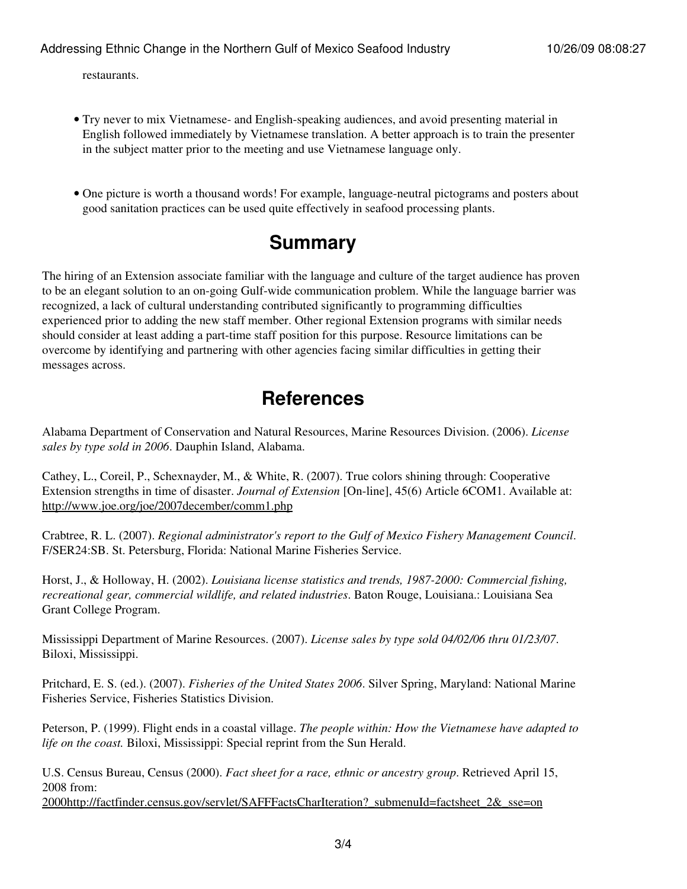restaurants.

- Try never to mix Vietnamese- and English-speaking audiences, and avoid presenting material in English followed immediately by Vietnamese translation. A better approach is to train the presenter in the subject matter prior to the meeting and use Vietnamese language only.
- One picture is worth a thousand words! For example, language-neutral pictograms and posters about good sanitation practices can be used quite effectively in seafood processing plants.

## **Summary**

The hiring of an Extension associate familiar with the language and culture of the target audience has proven to be an elegant solution to an on-going Gulf-wide communication problem. While the language barrier was recognized, a lack of cultural understanding contributed significantly to programming difficulties experienced prior to adding the new staff member. Other regional Extension programs with similar needs should consider at least adding a part-time staff position for this purpose. Resource limitations can be overcome by identifying and partnering with other agencies facing similar difficulties in getting their messages across.

## **References**

Alabama Department of Conservation and Natural Resources, Marine Resources Division. (2006). *License sales by type sold in 2006*. Dauphin Island, Alabama.

Cathey, L., Coreil, P., Schexnayder, M., & White, R. (2007). True colors shining through: Cooperative Extension strengths in time of disaster. *Journal of Extension* [On-line], 45(6) Article 6COM1. Available at: <http://www.joe.org/joe/2007december/comm1.php>

Crabtree, R. L. (2007). *Regional administrator's report to the Gulf of Mexico Fishery Management Council*. F/SER24:SB. St. Petersburg, Florida: National Marine Fisheries Service.

Horst, J., & Holloway, H. (2002). *Louisiana license statistics and trends, 1987-2000: Commercial fishing, recreational gear, commercial wildlife, and related industries*. Baton Rouge, Louisiana.: Louisiana Sea Grant College Program.

Mississippi Department of Marine Resources. (2007). *License sales by type sold 04/02/06 thru 01/23/07*. Biloxi, Mississippi.

Pritchard, E. S. (ed.). (2007). *Fisheries of the United States 2006*. Silver Spring, Maryland: National Marine Fisheries Service, Fisheries Statistics Division.

Peterson, P. (1999). Flight ends in a coastal village. *The people within: How the Vietnamese have adapted to life on the coast.* Biloxi, Mississippi: Special reprint from the Sun Herald.

U.S. Census Bureau, Census (2000). *Fact sheet for a race, ethnic or ancestry group*. Retrieved April 15, 2008 from:

[2000http://factfinder.census.gov/servlet/SAFFFactsCharIteration?\\_submenuId=factsheet\\_2&\\_sse=on](http://www.joe.org:80/joe/2009october/2000http://factfinder.census.gov/servlet/SAFFFactsCharIteration?_submenuId=factsheet_2&_sse=on)